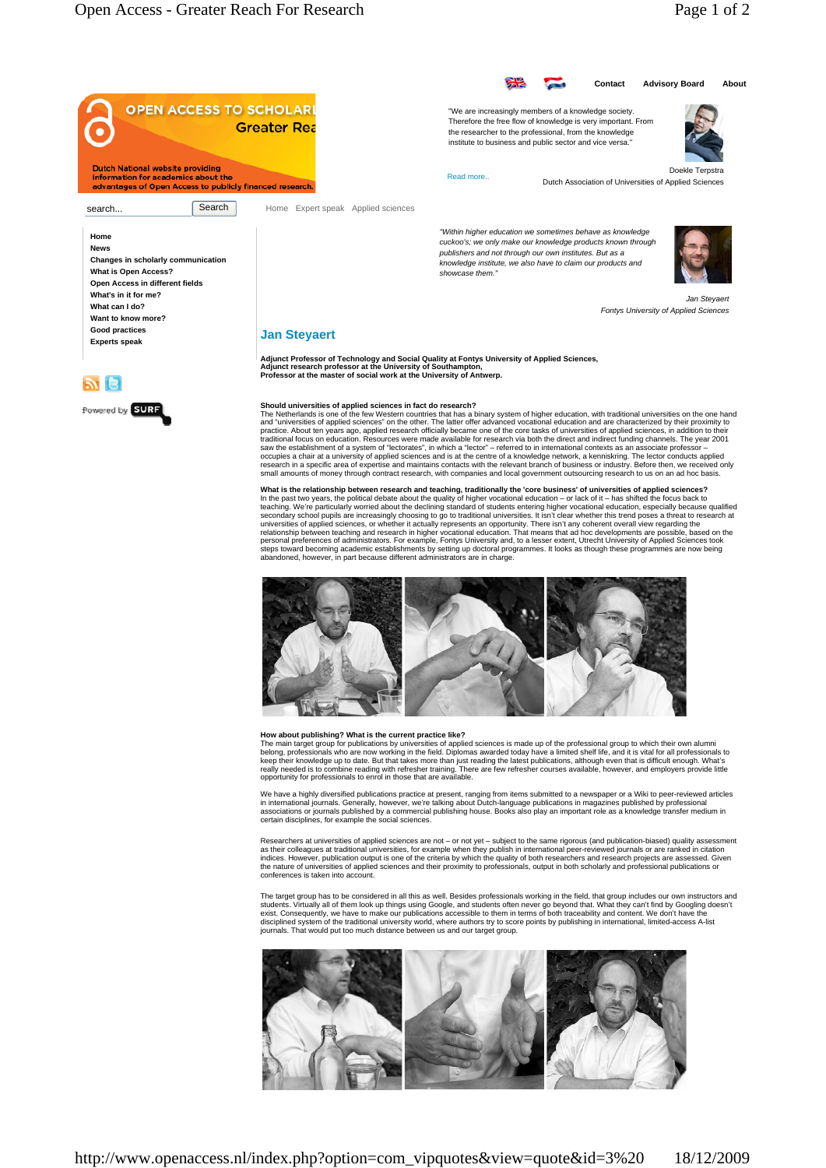

## **How about publishing? What is the current practice like?**

The main target group for publications by universities of applied sciences is made up of the professional group to which their own alumni<br>belong, professionals who are now working in the field. Diplomas awarded today have

We have a highly diversified publications practice at present, ranging from items submitted to a newspaper or a Wiki to peer-reviewed articles<br>in international journals. Generally, however, we're talking about Dutch-langua

Researchers at universities of applied sciences are not – or not yet – subject to the same rigorous (and publication-biased) quality assessment<br>as their colleagues at traditional universities, for example when they publish conferences is taken into account.

The target group has to be considered in all this as well. Besides professionals working in the field, that group includes our own instructors and<br>students. Virtually all of them look up things using Google, and students o